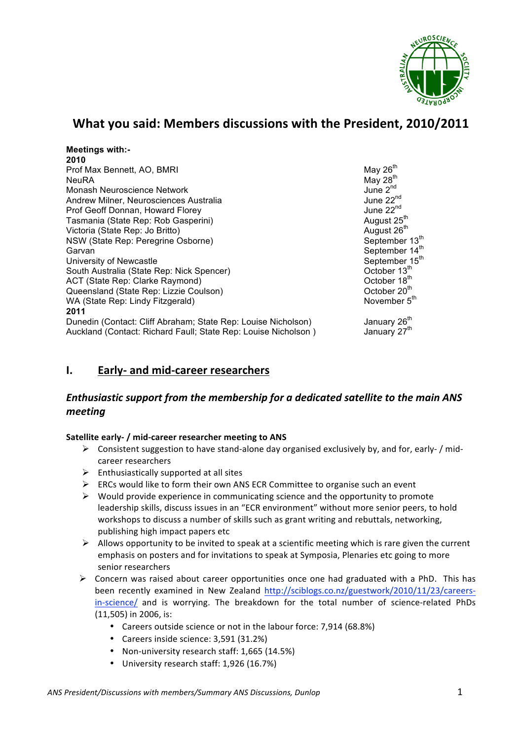

# What you said: Members discussions with the President, 2010/2011

| <b>Meetings with:-</b>                                         |                            |
|----------------------------------------------------------------|----------------------------|
| 2010                                                           |                            |
| Prof Max Bennett, AO, BMRI                                     | May $26^{\text{th}}$       |
| <b>NeuRA</b>                                                   | May $28th$                 |
| Monash Neuroscience Network                                    | June $2^{nd}$              |
| Andrew Milner, Neurosciences Australia                         | June 22 <sup>nd</sup>      |
| Prof Geoff Donnan, Howard Florey                               | June 22 <sup>nd</sup>      |
| Tasmania (State Rep: Rob Gasperini)                            | August 25 <sup>th</sup>    |
| Victoria (State Rep: Jo Britto)                                | August 26 <sup>th</sup>    |
| NSW (State Rep: Peregrine Osborne)                             | September 13th             |
| Garvan                                                         | September 14 <sup>th</sup> |
| University of Newcastle                                        | September 15 <sup>th</sup> |
| South Australia (State Rep: Nick Spencer)                      | October 13 <sup>th</sup>   |
| ACT (State Rep: Clarke Raymond)                                | October 18 <sup>th</sup>   |
| Queensland (State Rep: Lizzie Coulson)                         | October 20 <sup>th</sup>   |
| WA (State Rep: Lindy Fitzgerald)                               | November 5 <sup>th</sup>   |
| 2011                                                           |                            |
| Dunedin (Contact: Cliff Abraham; State Rep: Louise Nicholson)  | January 26 <sup>th</sup>   |
| Auckland (Contact: Richard Faull; State Rep: Louise Nicholson) | January 27 <sup>th</sup>   |

# **I. Early- and mid-career researchers**

# *Enthusiastic\*support\*from\*the\*membership\*for\*a\*dedicated\*satellite\*to the\*main\*ANS\* meeting*

# **Satellite early- / mid-career researcher meeting to ANS**

- $\triangleright$  Consistent suggestion to have stand-alone day organised exclusively by, and for, early- / midcareer researchers
- $\triangleright$  Enthusiastically supported at all sites
- $\triangleright$  ERCs would like to form their own ANS ECR Committee to organise such an event
- $\triangleright$  Would provide experience in communicating science and the opportunity to promote leadership skills, discuss issues in an "ECR environment" without more senior peers, to hold workshops to discuss a number of skills such as grant writing and rebuttals, networking, publishing high impact papers etc
- $\triangleright$  Allows opportunity to be invited to speak at a scientific meeting which is rare given the current emphasis on posters and for invitations to speak at Symposia, Plenaries etc going to more senior researchers
- $\triangleright$  Concern was raised about career opportunities once one had graduated with a PhD. This has been recently examined in New Zealand http://sciblogs.co.nz/guestwork/2010/11/23/careersin-science/ and is worrying. The breakdown for the total number of science-related PhDs  $(11,505)$  in 2006, is:
	- Careers outside science or not in the labour force: 7,914 (68.8%)
	- Careers inside science: 3,591 (31.2%)
	- Non-university research staff: 1,665 (14.5%)
	- University research staff: 1,926 (16.7%)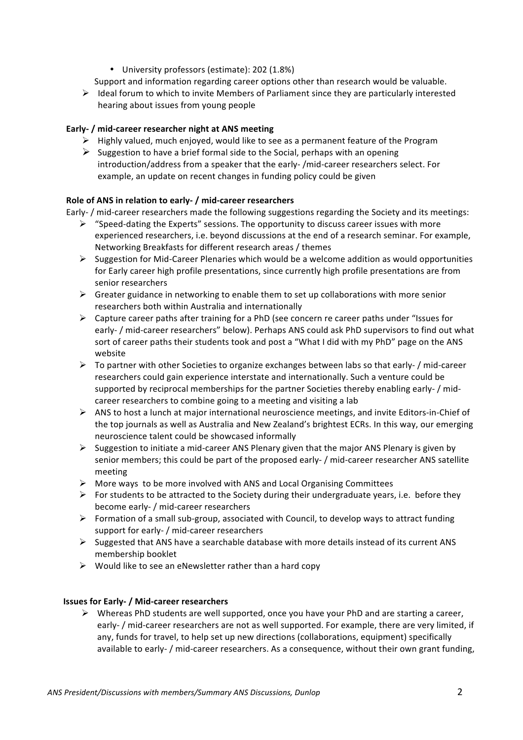• University professors (estimate): 202 (1.8%)

Support and information regarding career options other than research would be valuable.

 $\triangleright$  Ideal forum to which to invite Members of Parliament since they are particularly interested hearing about issues from young people

## **Early- / mid-career researcher night at ANS meeting**

- $\triangleright$  Highly valued, much enjoyed, would like to see as a permanent feature of the Program
- $\triangleright$  Suggestion to have a brief formal side to the Social, perhaps with an opening introduction/address from a speaker that the early-/mid-career researchers select. For example, an update on recent changes in funding policy could be given

## Role of ANS in relation to early- / mid-career researchers

Early- / mid-career researchers made the following suggestions regarding the Society and its meetings:

- $\triangleright$  "Speed-dating the Experts" sessions. The opportunity to discuss career issues with more experienced researchers, i.e. beyond discussions at the end of a research seminar. For example, Networking Breakfasts for different research areas / themes
- $\triangleright$  Suggestion for Mid-Career Plenaries which would be a welcome addition as would opportunities for Early career high profile presentations, since currently high profile presentations are from senior researchers
- $\triangleright$  Greater guidance in networking to enable them to set up collaborations with more senior researchers both within Australia and internationally
- $\triangleright$  Capture career paths after training for a PhD (see concern re career paths under "Issues for early- / mid-career researchers" below). Perhaps ANS could ask PhD supervisors to find out what sort of career paths their students took and post a "What I did with my PhD" page on the ANS website
- $\triangleright$  To partner with other Societies to organize exchanges between labs so that early- / mid-career researchers could gain experience interstate and internationally. Such a venture could be supported by reciprocal memberships for the partner Societies thereby enabling early- / midcareer researchers to combine going to a meeting and visiting a lab
- $\triangleright$  ANS to host a lunch at major international neuroscience meetings, and invite Editors-in-Chief of the top journals as well as Australia and New Zealand's brightest ECRs. In this way, our emerging neuroscience talent could be showcased informally
- Suggestion to initiate a mid-career ANS Plenary given that the major ANS Plenary is given by senior members; this could be part of the proposed early- / mid-career researcher ANS satellite meeting
- $\triangleright$  More ways to be more involved with ANS and Local Organising Committees
- For students to be attracted to the Society during their undergraduate years, i.e. before they become early- / mid-career researchers
- Formation of a small sub-group, associated with Council, to develop ways to attract funding support for early- / mid-career researchers
- $\triangleright$  Suggested that ANS have a searchable database with more details instead of its current ANS membership booklet
- $\triangleright$  Would like to see an eNewsletter rather than a hard copy

### **Issues for Early- / Mid-career researchers**

 $\triangleright$  Whereas PhD students are well supported, once you have your PhD and are starting a career, early- / mid-career researchers are not as well supported. For example, there are very limited, if any, funds for travel, to help set up new directions (collaborations, equipment) specifically available to early- / mid-career researchers. As a consequence, without their own grant funding,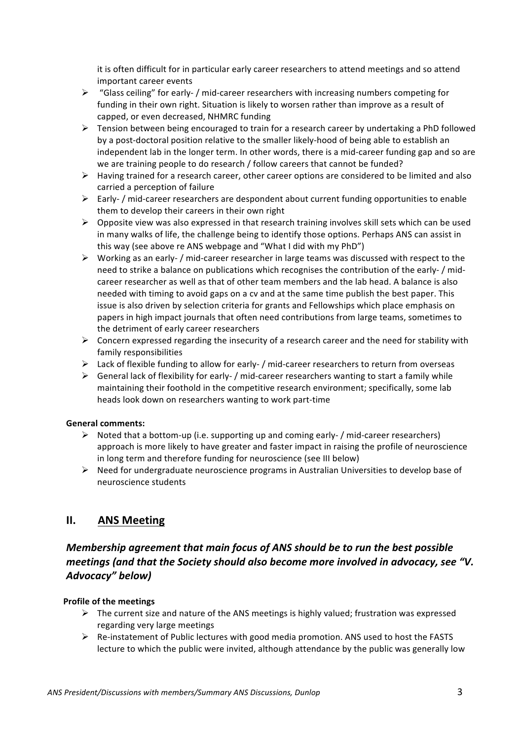it is often difficult for in particular early career researchers to attend meetings and so attend important career events

- $\triangleright$  "Glass ceiling" for early- / mid-career researchers with increasing numbers competing for funding in their own right. Situation is likely to worsen rather than improve as a result of capped, or even decreased, NHMRC funding
- $\triangleright$  Tension between being encouraged to train for a research career by undertaking a PhD followed by a post-doctoral position relative to the smaller likely-hood of being able to establish an independent lab in the longer term. In other words, there is a mid-career funding gap and so are we are training people to do research / follow careers that cannot be funded?
- $\triangleright$  Having trained for a research career, other career options are considered to be limited and also carried a perception of failure
- $\triangleright$  Early- / mid-career researchers are despondent about current funding opportunities to enable them to develop their careers in their own right
- $\triangleright$  Opposite view was also expressed in that research training involves skill sets which can be used in many walks of life, the challenge being to identify those options. Perhaps ANS can assist in this way (see above re ANS webpage and "What I did with my PhD")
- $\triangleright$  Working as an early- / mid-career researcher in large teams was discussed with respect to the need to strike a balance on publications which recognises the contribution of the early- / midcareer researcher as well as that of other team members and the lab head. A balance is also needed with timing to avoid gaps on a cv and at the same time publish the best paper. This issue is also driven by selection criteria for grants and Fellowships which place emphasis on papers in high impact journals that often need contributions from large teams, sometimes to the detriment of early career researchers
- $\triangleright$  Concern expressed regarding the insecurity of a research career and the need for stability with family responsibilities
- $\triangleright$  Lack of flexible funding to allow for early- / mid-career researchers to return from overseas
- $\triangleright$  General lack of flexibility for early- / mid-career researchers wanting to start a family while maintaining their foothold in the competitive research environment; specifically, some lab heads look down on researchers wanting to work part-time

# **General comments:!**

- Noted that a bottom-up (i.e. supporting up and coming early- / mid-career researchers) approach is more likely to have greater and faster impact in raising the profile of neuroscience in long term and therefore funding for neuroscience (see III below)
- $\triangleright$  Need for undergraduate neuroscience programs in Australian Universities to develop base of neuroscience students

# **II. ANS!Meeting**

# *Membership* agreement that main focus of ANS should be to run the best possible *meetings* (and that the Society should also become more involved in advocacy, see "V. *Advocacy" below)*

# **Profile of the meetings**

- $\triangleright$  The current size and nature of the ANS meetings is highly valued; frustration was expressed regarding very large meetings
- $\triangleright$  Re-instatement of Public lectures with good media promotion. ANS used to host the FASTS lecture to which the public were invited, although attendance by the public was generally low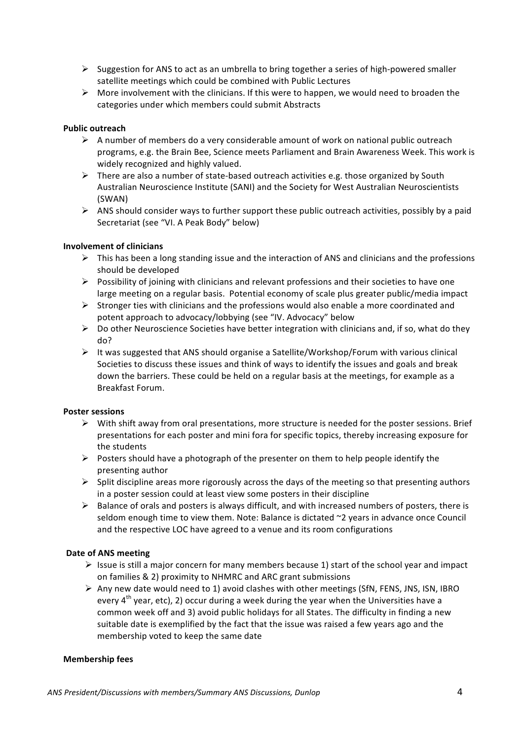- $\triangleright$  Suggestion for ANS to act as an umbrella to bring together a series of high-powered smaller satellite meetings which could be combined with Public Lectures
- $\triangleright$  More involvement with the clinicians. If this were to happen, we would need to broaden the categories under which members could submit Abstracts

## **Public!outreach**

- $\triangleright$  A number of members do a very considerable amount of work on national public outreach programs, e.g. the Brain Bee, Science meets Parliament and Brain Awareness Week. This work is widely recognized and highly valued.
- $\triangleright$  There are also a number of state-based outreach activities e.g. those organized by South Australian Neuroscience Institute (SANI) and the Society for West Australian Neuroscientists (SWAN)
- $\triangleright$  ANS should consider ways to further support these public outreach activities, possibly by a paid Secretariat (see "VI. A Peak Body" below)

## **Involvement of clinicians**

- $\triangleright$  This has been a long standing issue and the interaction of ANS and clinicians and the professions should be developed
- $\triangleright$  Possibility of joining with clinicians and relevant professions and their societies to have one large meeting on a regular basis. Potential economy of scale plus greater public/media impact
- $\triangleright$  Stronger ties with clinicians and the professions would also enable a more coordinated and potent approach to advocacy/lobbying (see "IV. Advocacy" below
- $\triangleright$  Do other Neuroscience Societies have better integration with clinicians and, if so, what do they do?
- $\triangleright$  It was suggested that ANS should organise a Satellite/Workshop/Forum with various clinical Societies to discuss these issues and think of ways to identify the issues and goals and break down the barriers. These could be held on a regular basis at the meetings, for example as a Breakfast Forum.

### **Poster sessions**

- $\triangleright$  With shift away from oral presentations, more structure is needed for the poster sessions. Brief presentations for each poster and mini fora for specific topics, thereby increasing exposure for the students
- Posters should have a photograph of the presenter on them to help people identify the presenting author
- $\triangleright$  Split discipline areas more rigorously across the days of the meeting so that presenting authors in a poster session could at least view some posters in their discipline
- $\triangleright$  Balance of orals and posters is always difficult, and with increased numbers of posters, there is seldom enough time to view them. Note: Balance is dictated  $\gamma$ 2 years in advance once Council and the respective LOC have agreed to a venue and its room configurations

### **Date of ANS meeting**

- $\triangleright$  Issue is still a major concern for many members because 1) start of the school year and impact on families & 2) proximity to NHMRC and ARC grant submissions
- $\triangleright$  Any new date would need to 1) avoid clashes with other meetings (SfN, FENS, JNS, ISN, IBRO every  $4<sup>th</sup>$  year, etc), 2) occur during a week during the year when the Universities have a common week off and 3) avoid public holidays for all States. The difficulty in finding a new suitable date is exemplified by the fact that the issue was raised a few years ago and the membership voted to keep the same date

### **Membership fees**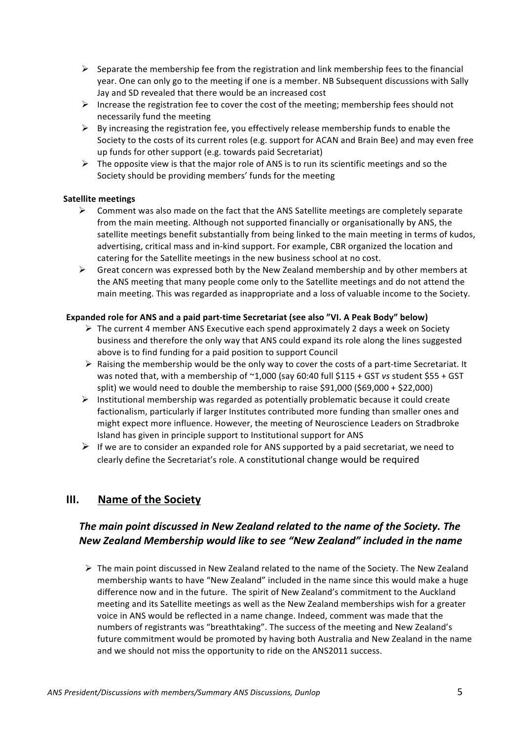- $\triangleright$  Separate the membership fee from the registration and link membership fees to the financial year. One can only go to the meeting if one is a member. NB Subsequent discussions with Sally Jay and SD revealed that there would be an increased cost
- Increase the registration fee to cover the cost of the meeting; membership fees should not necessarily fund the meeting
- $\triangleright$  By increasing the registration fee, you effectively release membership funds to enable the Society to the costs of its current roles (e.g. support for ACAN and Brain Bee) and may even free up funds for other support (e.g. towards paid Secretariat)
- $\triangleright$  The opposite view is that the major role of ANS is to run its scientific meetings and so the Society should be providing members' funds for the meeting

## **Satellite meetings**

- $\triangleright$  Comment was also made on the fact that the ANS Satellite meetings are completely separate from the main meeting. Although not supported financially or organisationally by ANS, the satellite meetings benefit substantially from being linked to the main meeting in terms of kudos, advertising, critical mass and in-kind support. For example, CBR organized the location and catering for the Satellite meetings in the new business school at no cost.
- $\triangleright$  Great concern was expressed both by the New Zealand membership and by other members at the ANS meeting that many people come only to the Satellite meetings and do not attend the main meeting. This was regarded as inappropriate and a loss of valuable income to the Society.

## Expanded role for ANS and a paid part-time Secretariat (see also "VI. A Peak Body" below)

- $\triangleright$  The current 4 member ANS Executive each spend approximately 2 days a week on Society business and therefore the only way that ANS could expand its role along the lines suggested above is to find funding for a paid position to support Council
- $\triangleright$  Raising the membership would be the only way to cover the costs of a part-time Secretariat. It was noted that, with a membership of ~1,000 (say 60:40 full \$115 + GST vs student \$55 + GST split) we would need to double the membership to raise \$91,000 (\$69,000 + \$22,000)
- $\triangleright$  Institutional membership was regarded as potentially problematic because it could create factionalism, particularly if larger Institutes contributed more funding than smaller ones and might expect more influence. However, the meeting of Neuroscience Leaders on Stradbroke Island has given in principle support to Institutional support for ANS
- $\triangleright$  If we are to consider an expanded role for ANS supported by a paid secretariat, we need to clearly define the Secretariat's role. A constitutional change would be required

# **III.** Name of the Society

# The main point discussed in New Zealand related to the name of the Society. The *New\*Zealand\*Membership\*would\*like\*to\*see\*"New\*Zealand"\*included in\*the\*name*

 $\triangleright$  The main point discussed in New Zealand related to the name of the Society. The New Zealand membership wants to have "New Zealand" included in the name since this would make a huge difference now and in the future. The spirit of New Zealand's commitment to the Auckland meeting and its Satellite meetings as well as the New Zealand memberships wish for a greater voice in ANS would be reflected in a name change. Indeed, comment was made that the numbers of registrants was "breathtaking". The success of the meeting and New Zealand's future commitment would be promoted by having both Australia and New Zealand in the name and we should not miss the opportunity to ride on the ANS2011 success.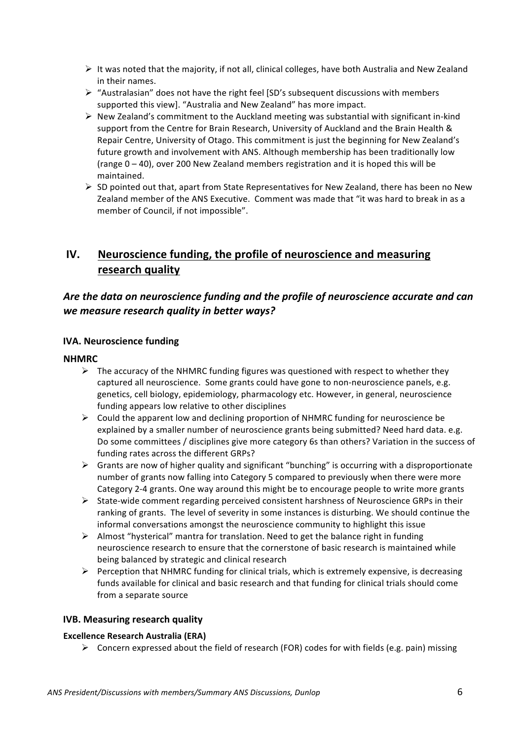- It was noted that the majority, if not all, clinical colleges, have both Australia and New Zealand in their names.
- $\triangleright$  "Australasian" does not have the right feel [SD's subsequent discussions with members" supported this view]. "Australia and New Zealand" has more impact.
- $\triangleright$  New Zealand's commitment to the Auckland meeting was substantial with significant in-kind support from the Centre for Brain Research, University of Auckland and the Brain Health & Repair Centre, University of Otago. This commitment is just the beginning for New Zealand's future growth and involvement with ANS. Although membership has been traditionally low (range  $0 - 40$ ), over 200 New Zealand members registration and it is hoped this will be maintained.
- $\triangleright$  SD pointed out that, apart from State Representatives for New Zealand, there has been no New Zealand member of the ANS Executive. Comment was made that "it was hard to break in as a member of Council, if not impossible".

# **IV.** Neuroscience funding, the profile of neuroscience and measuring research quality

# Are the data on neuroscience *funding and the profile of neuroscience accurate and can* we measure research quality in better ways?

# **IVA. Neuroscience funding**

## **NHMRC**

- $\triangleright$  The accuracy of the NHMRC funding figures was questioned with respect to whether they captured all neuroscience. Some grants could have gone to non-neuroscience panels, e.g. genetics, cell biology, epidemiology, pharmacology etc. However, in general, neuroscience funding appears low relative to other disciplines
- $\triangleright$  Could the apparent low and declining proportion of NHMRC funding for neuroscience be explained by a smaller number of neuroscience grants being submitted? Need hard data. e.g. Do some committees / disciplines give more category 6s than others? Variation in the success of funding rates across the different GRPs?
- $\triangleright$  Grants are now of higher quality and significant "bunching" is occurring with a disproportionate number of grants now falling into Category 5 compared to previously when there were more Category 2-4 grants. One way around this might be to encourage people to write more grants
- $\triangleright$  State-wide comment regarding perceived consistent harshness of Neuroscience GRPs in their ranking of grants. The level of severity in some instances is disturbing. We should continue the informal conversations amongst the neuroscience community to highlight this issue
- $\triangleright$  Almost "hysterical" mantra for translation. Need to get the balance right in funding neuroscience research to ensure that the cornerstone of basic research is maintained while being balanced by strategic and clinical research
- $\triangleright$  Perception that NHMRC funding for clinical trials, which is extremely expensive, is decreasing funds available for clinical and basic research and that funding for clinical trials should come from a separate source

# **IVB. Measuring research quality**

### **Excellence Research Australia (ERA)**

 $\triangleright$  Concern expressed about the field of research (FOR) codes for with fields (e.g. pain) missing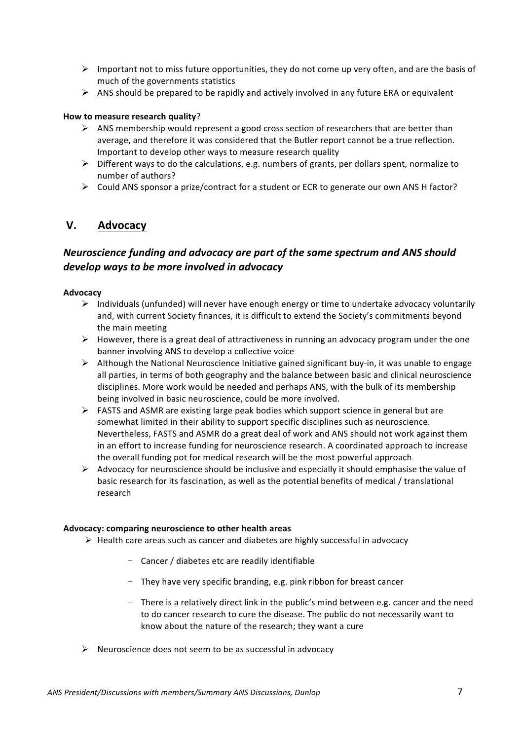- $\triangleright$  Important not to miss future opportunities, they do not come up very often, and are the basis of much of the governments statistics
- $\triangleright$  ANS should be prepared to be rapidly and actively involved in any future ERA or equivalent

### **How to measure research quality?**

- $\triangleright$  ANS membership would represent a good cross section of researchers that are better than average, and therefore it was considered that the Butler report cannot be a true reflection. Important to develop other ways to measure research quality
- $\triangleright$  Different ways to do the calculations, e.g. numbers of grants, per dollars spent, normalize to number of authors?
- $\triangleright$  Could ANS sponsor a prize/contract for a student or ECR to generate our own ANS H factor?

# **V. Advocacy**

# *Neuroscience\*funding\*and\*advocacy\*are\*part\*of\*the\*same\*spectrum and\*ANS\*should\* develop\*ways\*to\*be\*more\*involved in\*advocacy*

### **Advocacy**

- $\triangleright$  Individuals (unfunded) will never have enough energy or time to undertake advocacy voluntarily and, with current Society finances, it is difficult to extend the Society's commitments beyond the main meeting
- $\triangleright$  However, there is a great deal of attractiveness in running an advocacy program under the one banner involving ANS to develop a collective voice
- $\triangleright$  Although the National Neuroscience Initiative gained significant buy-in, it was unable to engage all parties, in terms of both geography and the balance between basic and clinical neuroscience disciplines. More work would be needed and perhaps ANS, with the bulk of its membership being involved in basic neuroscience, could be more involved.
- $\triangleright$  FASTS and ASMR are existing large peak bodies which support science in general but are somewhat limited in their ability to support specific disciplines such as neuroscience. Nevertheless, FASTS and ASMR do a great deal of work and ANS should not work against them in an effort to increase funding for neuroscience research. A coordinated approach to increase the overall funding pot for medical research will be the most powerful approach
- $\triangleright$  Advocacy for neuroscience should be inclusive and especially it should emphasise the value of basic research for its fascination, as well as the potential benefits of medical / translational research

### Advocacy: comparing neuroscience to other health areas

- $\triangleright$  Health care areas such as cancer and diabetes are highly successful in advocacy
	- Cancer / diabetes etc are readily identifiable
	- *-* They"have"very"specific"branding,"e.g."pink"ribbon"for"breast"cancer
	- There is a relatively direct link in the public's mind between e.g. cancer and the need to do cancer research to cure the disease. The public do not necessarily want to know about the nature of the research; they want a cure
- $\triangleright$  Neuroscience does not seem to be as successful in advocacy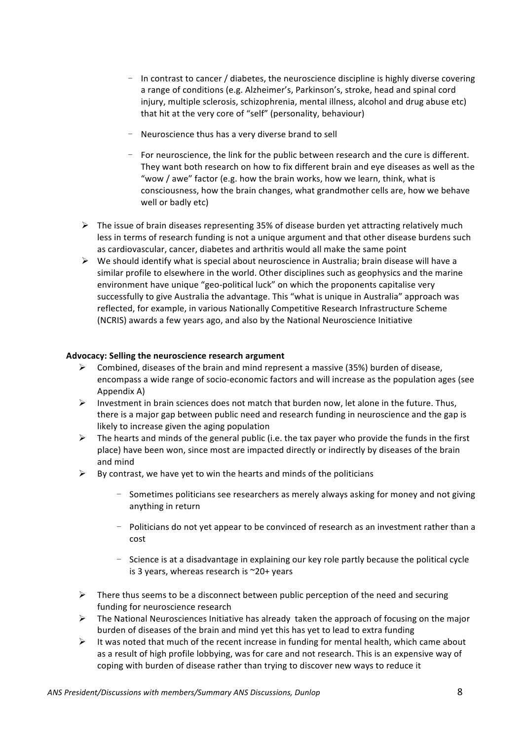- In contrast to cancer / diabetes, the neuroscience discipline is highly diverse covering a range of conditions (e.g. Alzheimer's, Parkinson's, stroke, head and spinal cord injury, multiple sclerosis, schizophrenia, mental illness, alcohol and drug abuse etc) that hit at the very core of "self" (personality, behaviour)
- Neuroscience thus has a very diverse brand to sell
- For neuroscience, the link for the public between research and the cure is different. They want both research on how to fix different brain and eye diseases as well as the "wow / awe" factor (e.g. how the brain works, how we learn, think, what is consciousness, how the brain changes, what grandmother cells are, how we behave well or badly etc)
- $\triangleright$  The issue of brain diseases representing 35% of disease burden yet attracting relatively much less in terms of research funding is not a unique argument and that other disease burdens such as cardiovascular, cancer, diabetes and arthritis would all make the same point
- $\triangleright$  We should identify what is special about neuroscience in Australia; brain disease will have a similar profile to elsewhere in the world. Other disciplines such as geophysics and the marine environment have unique "geo-political luck" on which the proponents capitalise very successfully to give Australia the advantage. This "what is unique in Australia" approach was reflected, for example, in various Nationally Competitive Research Infrastructure Scheme (NCRIS) awards a few years ago, and also by the National Neuroscience Initiative

## Advocacy: Selling the neuroscience research argument

- $\triangleright$  Combined, diseases of the brain and mind represent a massive (35%) burden of disease, encompass a wide range of socio-economic factors and will increase as the population ages (see Appendix A)
- $\triangleright$  Investment in brain sciences does not match that burden now, let alone in the future. Thus, there is a major gap between public need and research funding in neuroscience and the gap is likely to increase given the aging population
- $\triangleright$  The hearts and minds of the general public (i.e. the tax payer who provide the funds in the first place) have been won, since most are impacted directly or indirectly by diseases of the brain and mind
- $\triangleright$  By contrast, we have yet to win the hearts and minds of the politicians
	- Sometimes politicians see researchers as merely always asking for money and not giving anything in return
	- Politicians do not yet appear to be convinced of research as an investment rather than a cost"
	- Science is at a disadvantage in explaining our key role partly because the political cycle is 3 years, whereas research is  $\sim$ 20+ years
- $\triangleright$  There thus seems to be a disconnect between public perception of the need and securing funding for neuroscience research
- $\triangleright$  The National Neurosciences Initiative has already taken the approach of focusing on the major burden of diseases of the brain and mind yet this has yet to lead to extra funding
- It was noted that much of the recent increase in funding for mental health, which came about as a result of high profile lobbying, was for care and not research. This is an expensive way of coping with burden of disease rather than trying to discover new ways to reduce it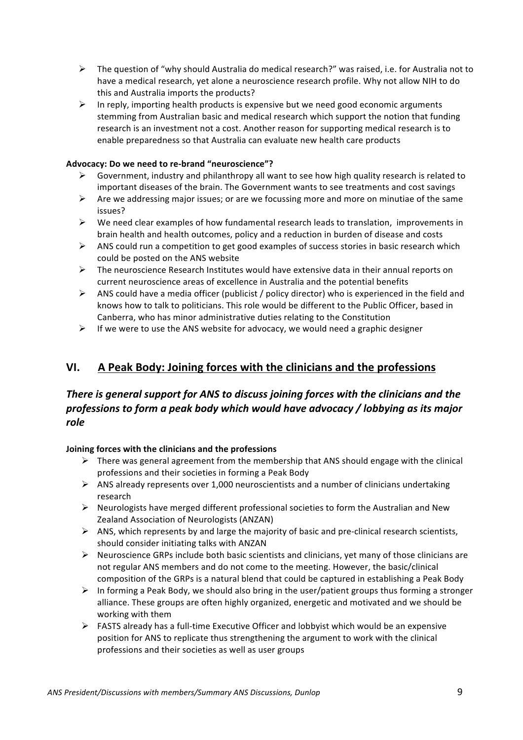- $\triangleright$  The question of "why should Australia do medical research?" was raised, i.e. for Australia not to have a medical research, yet alone a neuroscience research profile. Why not allow NIH to do this and Australia imports the products?
- $\triangleright$  In reply, importing health products is expensive but we need good economic arguments stemming from Australian basic and medical research which support the notion that funding research is an investment not a cost. Another reason for supporting medical research is to enable preparedness so that Australia can evaluate new health care products

## Advocacy: Do we need to re-brand "neuroscience"?

- $\triangleright$  Government, industry and philanthropy all want to see how high quality research is related to important diseases of the brain. The Government wants to see treatments and cost savings
- $\triangleright$  Are we addressing major issues; or are we focussing more and more on minutiae of the same issues?
- $\triangleright$  We need clear examples of how fundamental research leads to translation, improvements in brain health and health outcomes, policy and a reduction in burden of disease and costs
- $\triangleright$  ANS could run a competition to get good examples of success stories in basic research which could be posted on the ANS website
- $\triangleright$  The neuroscience Research Institutes would have extensive data in their annual reports on current neuroscience areas of excellence in Australia and the potential benefits
- ANS could have a media officer (publicist / policy director) who is experienced in the field and knows how to talk to politicians. This role would be different to the Public Officer, based in Canberra, who has minor administrative duties relating to the Constitution
- $\triangleright$  If we were to use the ANS website for advocacy, we would need a graphic designer

# **VI. A Peak Body: Joining forces with the clinicians and the professions**

# *There is general support for ANS to discuss joining forces with the clinicians and the professions\*to\*form\*a\*peak\*body\*which\*would\*have\*advocacy\*/\*lobbying\*as\*its\*major\* role*

# **Joining!forces!with!the!clinicians!and!the!professions**

- $\triangleright$  There was general agreement from the membership that ANS should engage with the clinical professions and their societies in forming a Peak Body
- $\triangleright$  ANS already represents over 1,000 neuroscientists and a number of clinicians undertaking research
- $\triangleright$  Neurologists have merged different professional societies to form the Australian and New Zealand Association of Neurologists (ANZAN)
- $\triangleright$  ANS, which represents by and large the majority of basic and pre-clinical research scientists, should consider initiating talks with ANZAN
- $\triangleright$  Neuroscience GRPs include both basic scientists and clinicians, yet many of those clinicians are not regular ANS members and do not come to the meeting. However, the basic/clinical composition of the GRPs is a natural blend that could be captured in establishing a Peak Body
- $\triangleright$  In forming a Peak Body, we should also bring in the user/patient groups thus forming a stronger alliance. These groups are often highly organized, energetic and motivated and we should be working with them
- $\triangleright$  FASTS already has a full-time Executive Officer and lobbyist which would be an expensive position for ANS to replicate thus strengthening the argument to work with the clinical professions and their societies as well as user groups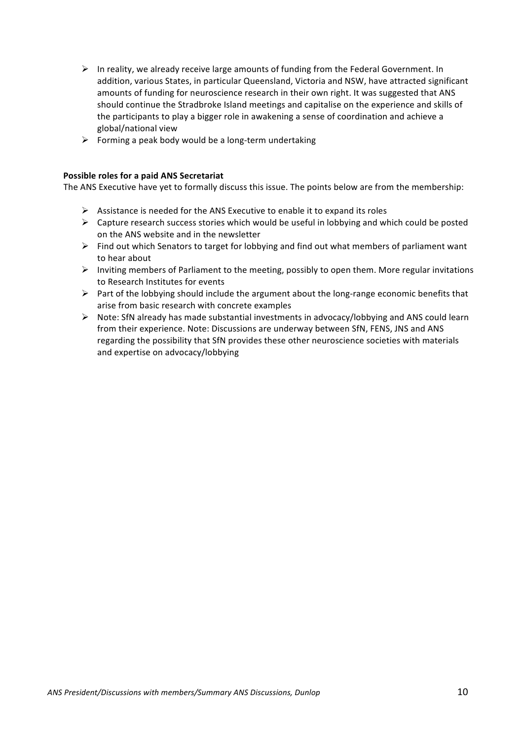- $\triangleright$  In reality, we already receive large amounts of funding from the Federal Government. In addition, various States, in particular Queensland, Victoria and NSW, have attracted significant amounts of funding for neuroscience research in their own right. It was suggested that ANS should continue the Stradbroke Island meetings and capitalise on the experience and skills of the participants to play a bigger role in awakening a sense of coordination and achieve a global/national view
- $\triangleright$  Forming a peak body would be a long-term undertaking

### **Possible roles for a paid ANS Secretariat**

The ANS Executive have yet to formally discuss this issue. The points below are from the membership:

- $\triangleright$  Assistance is needed for the ANS Executive to enable it to expand its roles
- $\triangleright$  Capture research success stories which would be useful in lobbying and which could be posted on the ANS website and in the newsletter
- $\triangleright$  Find out which Senators to target for lobbying and find out what members of parliament want to hear about
- Inviting members of Parliament to the meeting, possibly to open them. More regular invitations" to Research Institutes for events
- Part of the lobbying should include the argument about the long-range economic benefits that arise from basic research with concrete examples
- $\triangleright$  Note: SfN already has made substantial investments in advocacy/lobbying and ANS could learn from their experience. Note: Discussions are underway between SfN, FENS, JNS and ANS regarding the possibility that SfN provides these other neuroscience societies with materials and expertise on advocacy/lobbying